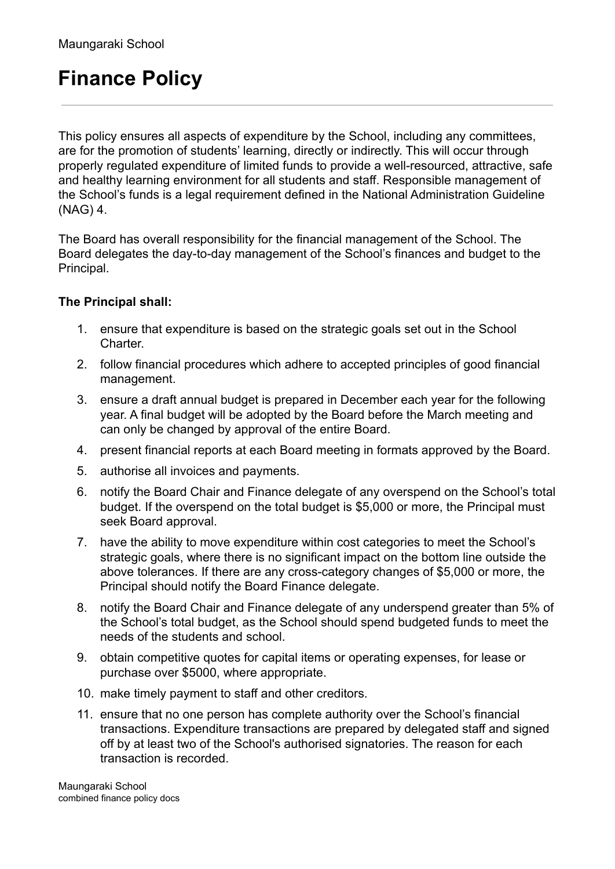# **Finance Policy**

This policy ensures all aspects of expenditure by the School, including any committees, are for the promotion of students' learning, directly or indirectly. This will occur through properly regulated expenditure of limited funds to provide a well-resourced, attractive, safe and healthy learning environment for all students and staff. Responsible management of the School's funds is a legal requirement defined in the National Administration Guideline (NAG) 4.

The Board has overall responsibility for the financial management of the School. The Board delegates the day-to-day management of the School's finances and budget to the Principal.

#### **The Principal shall:**

- 1. ensure that expenditure is based on the strategic goals set out in the School Charter.
- 2. follow financial procedures which adhere to accepted principles of good financial management.
- 3. ensure a draft annual budget is prepared in December each year for the following year. A final budget will be adopted by the Board before the March meeting and can only be changed by approval of the entire Board.
- 4. present financial reports at each Board meeting in formats approved by the Board.
- 5. authorise all invoices and payments.
- 6. notify the Board Chair and Finance delegate of any overspend on the School's total budget. If the overspend on the total budget is \$5,000 or more, the Principal must seek Board approval.
- 7. have the ability to move expenditure within cost categories to meet the School's strategic goals, where there is no significant impact on the bottom line outside the above tolerances. If there are any cross-category changes of \$5,000 or more, the Principal should notify the Board Finance delegate.
- 8. notify the Board Chair and Finance delegate of any underspend greater than 5% of the School's total budget, as the School should spend budgeted funds to meet the needs of the students and school.
- 9. obtain competitive quotes for capital items or operating expenses, for lease or purchase over \$5000, where appropriate.
- 10. make timely payment to staff and other creditors.
- 11. ensure that no one person has complete authority over the School's financial transactions. Expenditure transactions are prepared by delegated staff and signed off by at least two of the School's authorised signatories. The reason for each transaction is recorded.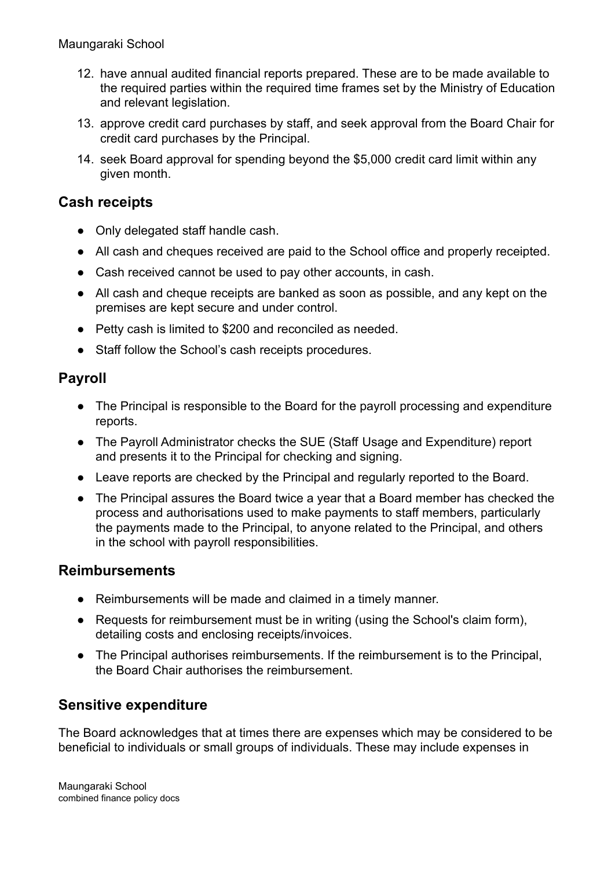- 12. have annual audited financial reports prepared. These are to be made available to the required parties within the required time frames set by the Ministry of Education and relevant legislation.
- 13. approve credit card purchases by staff, and seek approval from the Board Chair for credit card purchases by the Principal.
- 14. seek Board approval for spending beyond the \$5,000 credit card limit within any given month.

## **Cash receipts**

- Only delegated staff handle cash.
- All cash and cheques received are paid to the School office and properly receipted.
- Cash received cannot be used to pay other accounts, in cash.
- All cash and cheque receipts are banked as soon as possible, and any kept on the premises are kept secure and under control.
- Petty cash is limited to \$200 and reconciled as needed.
- Staff follow the School's cash receipts procedures.

## **Payroll**

- The Principal is responsible to the Board for the payroll processing and expenditure reports.
- The Payroll Administrator checks the SUE (Staff Usage and Expenditure) report and presents it to the Principal for checking and signing.
- Leave reports are checked by the Principal and regularly reported to the Board.
- The Principal assures the Board twice a year that a Board member has checked the process and authorisations used to make payments to staff members, particularly the payments made to the Principal, to anyone related to the Principal, and others in the school with payroll responsibilities.

## **Reimbursements**

- Reimbursements will be made and claimed in a timely manner.
- Requests for reimbursement must be in writing (using the School's claim form), detailing costs and enclosing receipts/invoices.
- The Principal authorises reimbursements. If the reimbursement is to the Principal, the Board Chair authorises the reimbursement.

## **Sensitive expenditure**

The Board acknowledges that at times there are expenses which may be considered to be beneficial to individuals or small groups of individuals. These may include expenses in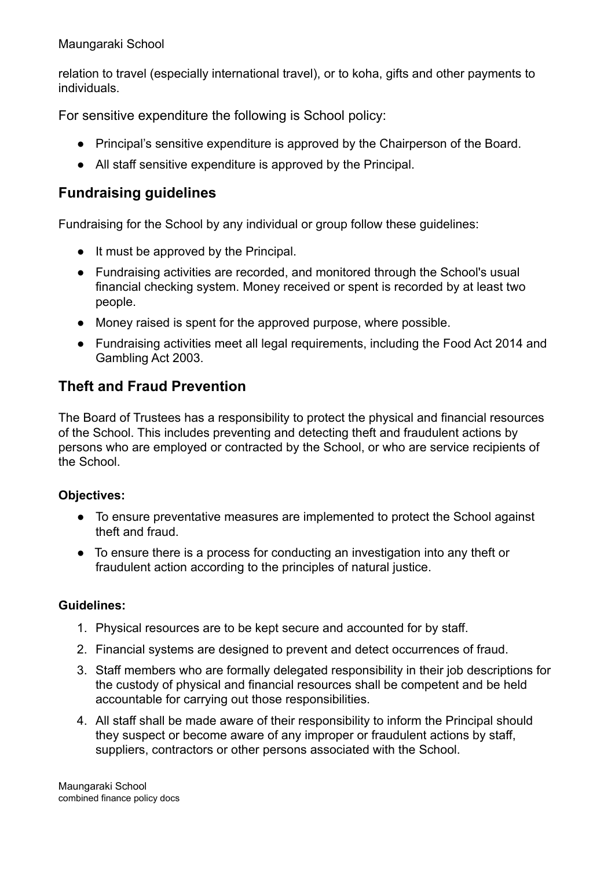#### Maungaraki School

relation to travel (especially international travel), or to koha, gifts and other payments to individuals.

For sensitive expenditure the following is School policy:

- Principal's sensitive expenditure is approved by the Chairperson of the Board.
- All staff sensitive expenditure is approved by the Principal.

# **Fundraising guidelines**

Fundraising for the School by any individual or group follow these guidelines:

- It must be approved by the Principal.
- Fundraising activities are recorded, and monitored through the School's usual financial checking system. Money received or spent is recorded by at least two people.
- Money raised is spent for the approved purpose, where possible.
- Fundraising activities meet all legal requirements, including the Food Act 2014 and Gambling Act 2003.

## **Theft and Fraud Prevention**

The Board of Trustees has a responsibility to protect the physical and financial resources of the School. This includes preventing and detecting theft and fraudulent actions by persons who are employed or contracted by the School, or who are service recipients of the School.

#### **Objectives:**

- To ensure preventative measures are implemented to protect the School against theft and fraud.
- To ensure there is a process for conducting an investigation into any theft or fraudulent action according to the principles of natural justice.

#### **Guidelines:**

- 1. Physical resources are to be kept secure and accounted for by staff.
- 2. Financial systems are designed to prevent and detect occurrences of fraud.
- 3. Staff members who are formally delegated responsibility in their job descriptions for the custody of physical and financial resources shall be competent and be held accountable for carrying out those responsibilities.
- 4. All staff shall be made aware of their responsibility to inform the Principal should they suspect or become aware of any improper or fraudulent actions by staff, suppliers, contractors or other persons associated with the School.